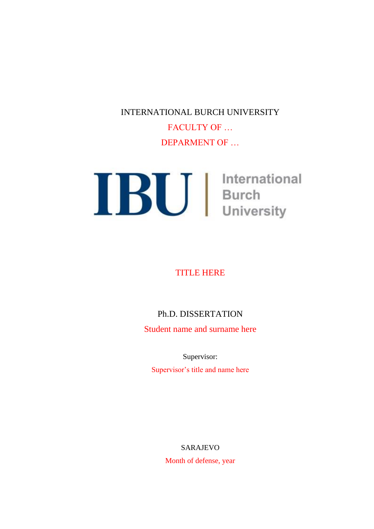INTERNATIONAL BURCH UNIVERSITY

FACULTY OF … DEPARMENT OF …

**IBU** International

#### TITLE HERE

### Ph.D. DISSERTATION

Student name and surname here

Supervisor:

Supervisor's title and name here

#### SARAJEVO

Month of defense, year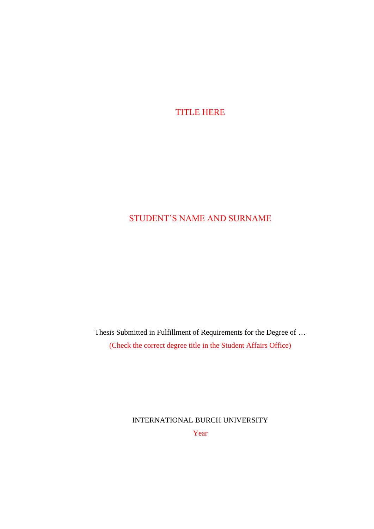TITLE HERE

# STUDENT'S NAME AND SURNAME

Thesis Submitted in Fulfillment of Requirements for the Degree of … (Check the correct degree title in the Student Affairs Office)

> INTERNATIONAL BURCH UNIVERSITY Year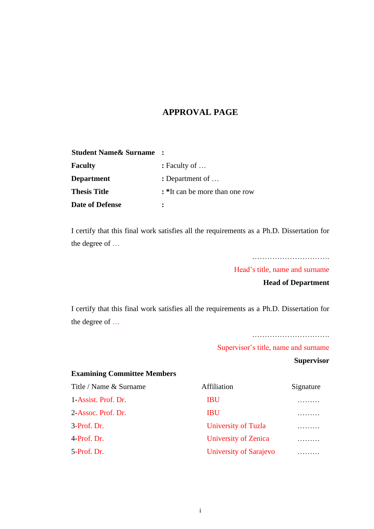#### **APPROVAL PAGE**

| <b>Student Name &amp; Surname</b> |                                |
|-----------------------------------|--------------------------------|
| <b>Faculty</b>                    | $:$ Faculty of $\ldots$        |
| <b>Department</b>                 | : Department of $\dots$        |
| <b>Thesis Title</b>               | : *It can be more than one row |
| <b>Date of Defense</b>            |                                |

I certify that this final work satisfies all the requirements as a Ph.D. Dissertation for the degree of …

………………………………

Head's title, name and surname

**Head of Department**

I certify that this final work satisfies all the requirements as a Ph.D. Dissertation for the degree of …

…………………………………

Supervisor's title, name and surname

**Supervisor**

| <b>Examining Committee Members</b> |                        |           |  |
|------------------------------------|------------------------|-----------|--|
| Title / Name & Surname             | Affiliation            | Signature |  |
| 1-Assist. Prof. Dr.                | <b>IBU</b>             |           |  |
| 2-Assoc. Prof. Dr.                 | <b>IBU</b>             |           |  |
| 3-Prof. Dr.                        | University of Tuzla    |           |  |
| 4-Prof. Dr.                        | University of Zenica   | .         |  |
| 5-Prof. Dr.                        | University of Sarajevo |           |  |
|                                    |                        |           |  |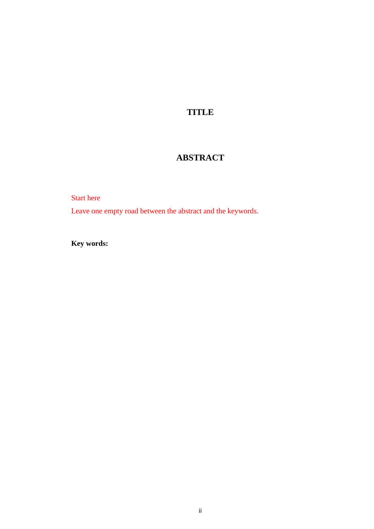### **TITLE**

## **ABSTRACT**

Start here

Leave one empty road between the abstract and the keywords.

**Key words:**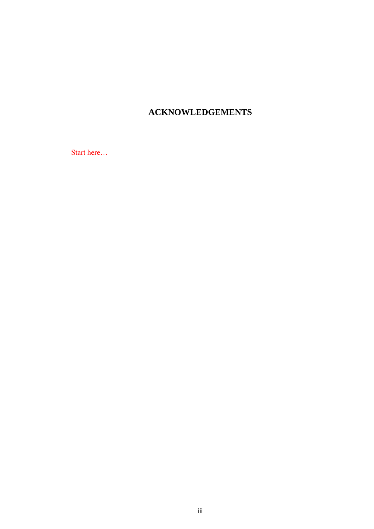## **ACKNOWLEDGEMENTS**

Start here...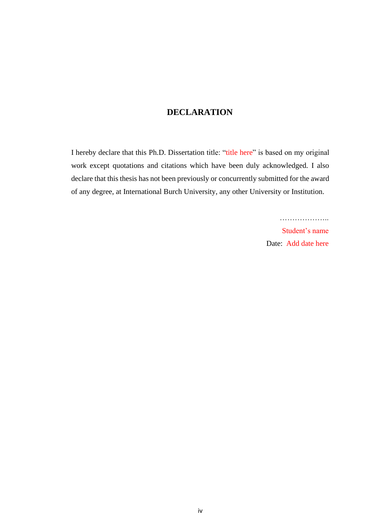#### **DECLARATION**

I hereby declare that this Ph.D. Dissertation title: "title here" is based on my original work except quotations and citations which have been duly acknowledged. I also declare that this thesis has not been previously or concurrently submitted for the award of any degree, at International Burch University, any other University or Institution.

> Student's name Date: Add date here

…………………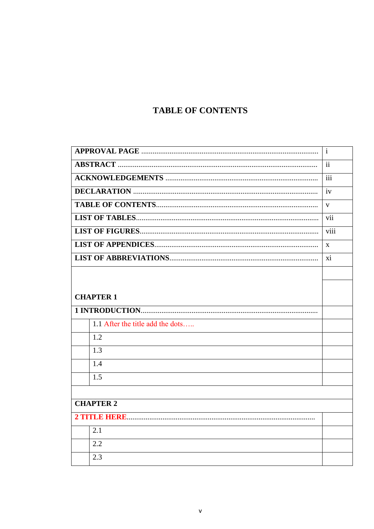# **TABLE OF CONTENTS**

|                                  | $\mathbf{i}$            |
|----------------------------------|-------------------------|
|                                  | $\overline{\mathbf{i}}$ |
|                                  | $\overline{iii}$        |
|                                  | iv                      |
|                                  | $\mathbf{V}$            |
|                                  | vii                     |
|                                  | viii                    |
|                                  | X                       |
|                                  | xi                      |
|                                  |                         |
|                                  |                         |
| <b>CHAPTER 1</b>                 |                         |
|                                  |                         |
|                                  |                         |
| 1.1 After the title add the dots |                         |
| 1.2                              |                         |
| 1.3                              |                         |
| 1.4                              |                         |
| 1.5                              |                         |
|                                  |                         |
| <b>CHAPTER 2</b>                 |                         |
|                                  |                         |
| 2.1                              |                         |
| 2.2                              |                         |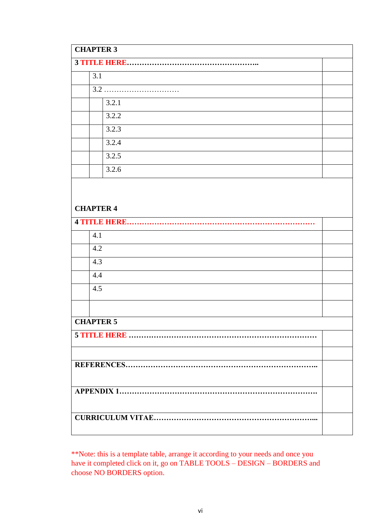| <b>CHAPTER 3</b>    |  |
|---------------------|--|
|                     |  |
| 3.1                 |  |
|                     |  |
| 3.2.1               |  |
| 3.2.2               |  |
| 3.2.3               |  |
| 3.2.4               |  |
| 3.2.5               |  |
| 3.2.6               |  |
|                     |  |
|                     |  |
| <b>CHAPTER 4</b>    |  |
| <b>4 TITLE HERE</b> |  |
| 4.1                 |  |
| 4.2                 |  |
| 4.3                 |  |
| 4.4                 |  |
| 4.5                 |  |
|                     |  |
| <b>CHAPTER 5</b>    |  |
|                     |  |
|                     |  |
|                     |  |
|                     |  |
|                     |  |
|                     |  |
|                     |  |
|                     |  |
|                     |  |

\*\*Note: this is a template table, arrange it according to your needs and once you have it completed click on it, go on TABLE TOOLS – DESIGN – BORDERS and choose NO BORDERS option.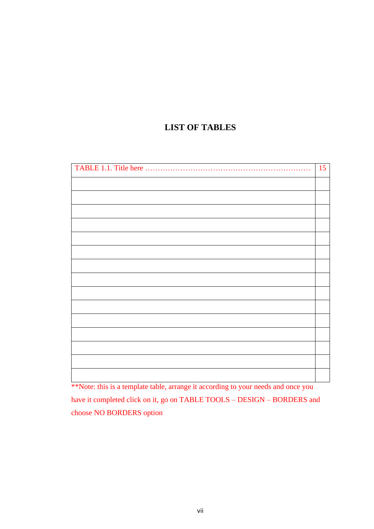### **LIST OF TABLES**

| 15 |
|----|
|    |
|    |
|    |
|    |
|    |
|    |
|    |
|    |
|    |
|    |
|    |
|    |
|    |
|    |
|    |

\*\*Note: this is a template table, arrange it according to your needs and once you have it completed click on it, go on TABLE TOOLS – DESIGN – BORDERS and choose NO BORDERS option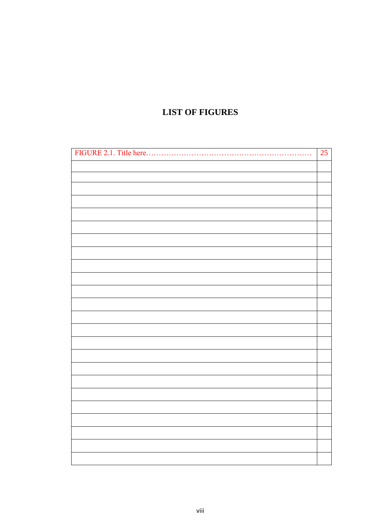## **LIST OF FIGURES**

| FIGURE 2.1. Title here | 25 |
|------------------------|----|
|                        |    |
|                        |    |
|                        |    |
|                        |    |
|                        |    |
|                        |    |
|                        |    |
|                        |    |
|                        |    |
|                        |    |
|                        |    |
|                        |    |
|                        |    |
|                        |    |
|                        |    |
|                        |    |
|                        |    |
|                        |    |
|                        |    |
|                        |    |
|                        |    |
|                        |    |
|                        |    |
|                        |    |
|                        |    |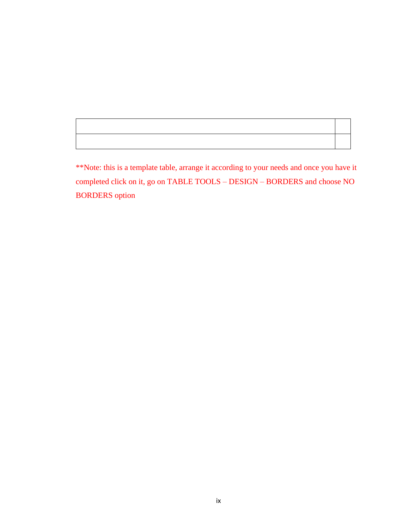\*\*Note: this is a template table, arrange it according to your needs and once you have it completed click on it, go on TABLE TOOLS – DESIGN – BORDERS and choose NO BORDERS option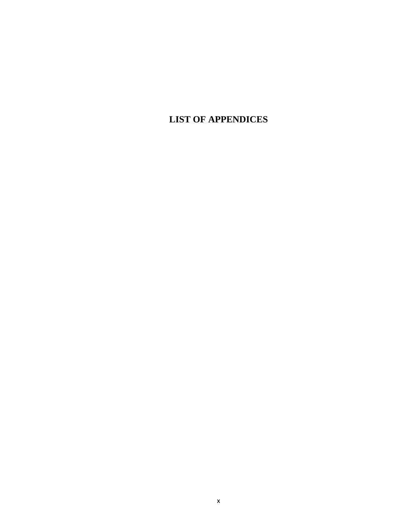**LIST OF APPENDICES**